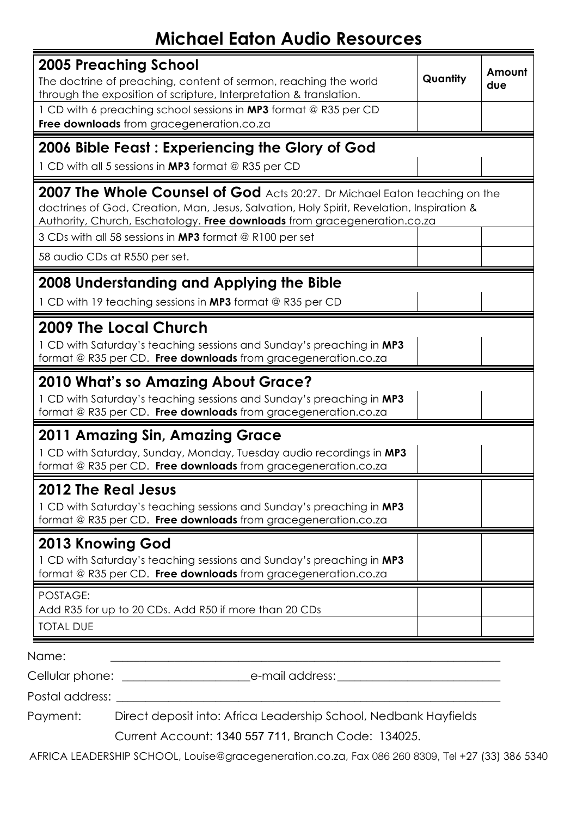## **Michael Eaton Audio Resources**

| 2005 Preaching School<br>The doctrine of preaching, content of sermon, reaching the world<br>through the exposition of scripture, Interpretation & translation.                                                                                      | Quantity | Amount<br>due |  |  |
|------------------------------------------------------------------------------------------------------------------------------------------------------------------------------------------------------------------------------------------------------|----------|---------------|--|--|
| 1 CD with 6 preaching school sessions in MP3 format @ R35 per CD<br>Free downloads from gracegeneration.co.za                                                                                                                                        |          |               |  |  |
| 2006 Bible Feast: Experiencing the Glory of God<br>1 CD with all 5 sessions in MP3 format @ R35 per CD                                                                                                                                               |          |               |  |  |
| 2007 The Whole Counsel of God Acts 20:27. Dr Michael Eaton teaching on the<br>doctrines of God, Creation, Man, Jesus, Salvation, Holy Spirit, Revelation, Inspiration &<br>Authority, Church, Eschatology. Free downloads from gracegeneration.co.za |          |               |  |  |
| 3 CDs with all 58 sessions in MP3 format @ R100 per set<br>58 audio CDs at R550 per set.                                                                                                                                                             |          |               |  |  |
| 2008 Understanding and Applying the Bible<br>1 CD with 19 teaching sessions in MP3 format @ R35 per CD                                                                                                                                               |          |               |  |  |
| 2009 The Local Church<br>1 CD with Saturday's teaching sessions and Sunday's preaching in MP3<br>format @ R35 per CD. Free downloads from gracegeneration.co.za                                                                                      |          |               |  |  |
| <b>2010 What's so Amazing About Grace?</b><br>1 CD with Saturday's teaching sessions and Sunday's preaching in MP3<br>format @ R35 per CD. Free downloads from gracegeneration.co.za                                                                 |          |               |  |  |
| 2011 Amazing Sin, Amazing Grace<br>1 CD with Saturday, Sunday, Monday, Tuesday audio recordings in MP3<br>format @ R35 per CD. Free downloads from gracegeneration.co.za                                                                             |          |               |  |  |
| <b>2012 The Real Jesus</b><br>1 CD with Saturday's teaching sessions and Sunday's preaching in MP3<br>format @ R35 per CD. Free downloads from gracegeneration.co.za                                                                                 |          |               |  |  |
| 2013 Knowing God<br>1 CD with Saturday's teaching sessions and Sunday's preaching in MP3<br>format @ R35 per CD. Free downloads from gracegeneration.co.za                                                                                           |          |               |  |  |
| POSTAGE:<br>Add R35 for up to 20 CDs. Add R50 if more than 20 CDs<br><b>TOTAL DUE</b>                                                                                                                                                                |          |               |  |  |
| Name:                                                                                                                                                                                                                                                |          |               |  |  |
|                                                                                                                                                                                                                                                      |          |               |  |  |

Postal address:

Payment: Direct deposit into: Africa Leadership School, Nedbank Hayfields

Current Account: 1340 557 711, Branch Code: 134025.

AFRICA LEADERSHIP SCHOOL, Louise@gracegeneration.co.za, Fax 086 260 8309, Tel +27 (33) 386 5340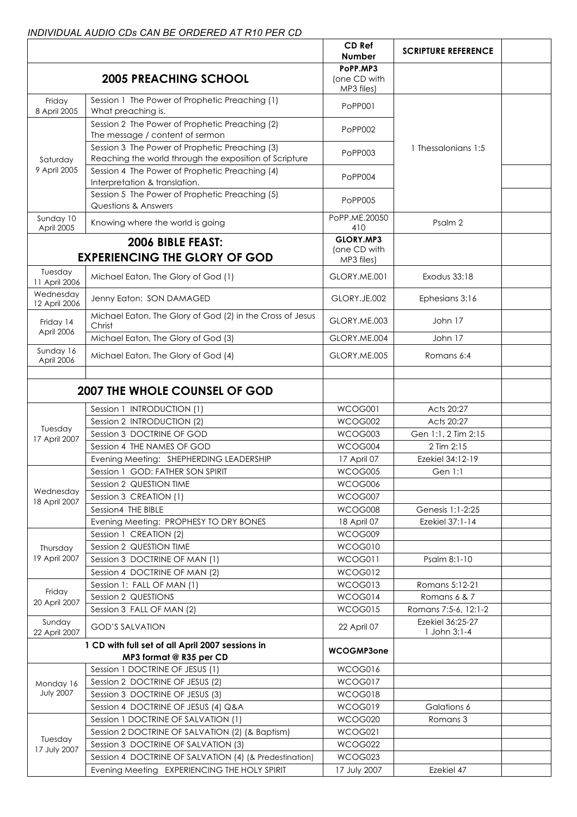## *INDIVIDUAL AUDIO CDs CAN BE ORDERED AT R10 PER CD*

|                            |                                                                                                          | CD Ref<br><b>Number</b>                 | <b>SCRIPTURE REFERENCE</b>       |  |
|----------------------------|----------------------------------------------------------------------------------------------------------|-----------------------------------------|----------------------------------|--|
|                            | <b>2005 PREACHING SCHOOL</b>                                                                             | PoPP.MP3<br>(one CD with<br>MP3 files)  |                                  |  |
| Friday<br>8 April 2005     | Session 1 The Power of Prophetic Preaching (1)<br>What preaching is.                                     | PoPP001                                 |                                  |  |
| Saturday<br>9 April 2005   | Session 2 The Power of Prophetic Preaching (2)<br>The message / content of sermon                        | PoPP002                                 |                                  |  |
|                            | Session 3 The Power of Prophetic Preaching (3)<br>Reaching the world through the exposition of Scripture | PoPP003                                 | 1.5 1 Thessalonians 1:5          |  |
|                            | Session 4 The Power of Prophetic Preaching (4)<br>Interpretation & translation.                          | PoPP004                                 |                                  |  |
|                            | Session 5 The Power of Prophetic Preaching (5)<br><b>Questions &amp; Answers</b>                         | PoPP005                                 |                                  |  |
| Sunday 10<br>April 2005    | Knowing where the world is going                                                                         | PoPP.ME.20050<br>410                    | Psalm 2                          |  |
|                            | 2006 BIBLE FEAST:<br><b>EXPERIENCING THE GLORY OF GOD</b>                                                | GLORY.MP3<br>(one CD with<br>MP3 files) |                                  |  |
| Tuesday<br>11 April 2006   | Michael Eaton, The Glory of God (1)                                                                      | GLORY.ME.001                            | <b>Exodus 33:18</b>              |  |
| Wednesday<br>12 April 2006 | Jenny Eaton: SON DAMAGED                                                                                 | GLORY.JE.002                            | Ephesians 3:16                   |  |
| Friday 14<br>April 2006    | Michael Eaton, The Glory of God (2) in the Cross of Jesus<br>Christ                                      | GLORY.ME.003                            | John 17                          |  |
|                            | Michael Eaton, The Glory of God (3)                                                                      | GLORY.ME.004                            | John 17                          |  |
| Sunday 16<br>April 2006    | Michael Eaton, The Glory of God (4)                                                                      | GLORY.ME.005                            | Romans 6:4                       |  |
|                            | <b>2007 THE WHOLE COUNSEL OF GOD</b>                                                                     |                                         |                                  |  |
|                            | Session 1 INTRODUCTION (1)                                                                               | WCOG001                                 | Acts 20:27                       |  |
| Tuesday                    | Session 2 INTRODUCTION (2)                                                                               | WCOG002                                 | Acts 20:27                       |  |
| 17 April 2007              | Session 3 DOCTRINE OF GOD                                                                                | WCOG003                                 | Gen 1:1, 2 Tim 2:15              |  |
|                            | Session 4 THE NAMES OF GOD                                                                               | WCOG004                                 | 2 Tim 2:15                       |  |
|                            | Evening Meeting: SHEPHERDING LEADERSHIP                                                                  | 17 April 07                             | Ezekiel 34:12-19                 |  |
|                            | Session 1 GOD: FATHER SON SPIRIT                                                                         | WCOG005                                 | Gen 1:1                          |  |
| Wednesday                  | Session 2 QUESTION TIME                                                                                  | WCOG006                                 |                                  |  |
| 18 April 2007              | Session 3 CREATION (1)                                                                                   | WCOG007                                 |                                  |  |
|                            | Session4 THE BIBLE                                                                                       | WCOG008                                 | Genesis 1:1-2:25                 |  |
|                            | Evening Meeting: PROPHESY TO DRY BONES                                                                   | 18 April 07                             | Ezekiel 37:1-14                  |  |
|                            | Session 1 CREATION (2)<br>Session 2 QUESTION TIME                                                        | WCOG009<br>WCOG010                      |                                  |  |
| Thursday<br>19 April 2007  | Session 3 DOCTRINE OF MAN (1)                                                                            | WCOG011                                 | Psalm 8:1-10                     |  |
|                            | Session 4 DOCTRINE OF MAN (2)                                                                            | WCOG012                                 |                                  |  |
|                            | Session 1: FALL OF MAN (1)                                                                               | WCOG013                                 | Romans 5:12-21                   |  |
| Friday                     | Session 2 QUESTIONS                                                                                      | WCOG014                                 | Romans 6 & 7                     |  |
| 20 April 2007              | Session 3 FALL OF MAN (2)                                                                                | WCOG015                                 | Romans 7:5-6, 12:1-2             |  |
| Sunday<br>22 April 2007    | <b>GOD'S SALVATION</b>                                                                                   | 22 April 07                             | Ezekiel 36:25-27<br>1 John 3:1-4 |  |
|                            | 1 CD with full set of all April 2007 sessions in                                                         |                                         |                                  |  |
|                            | MP3 format @ R35 per CD                                                                                  | <b>WCOGMP3one</b>                       |                                  |  |
|                            | Session 1 DOCTRINE OF JESUS (1)                                                                          | WCOG016                                 |                                  |  |
| Monday 16                  | Session 2 DOCTRINE OF JESUS (2)                                                                          | WCOG017                                 |                                  |  |
| <b>July 2007</b>           | Session 3 DOCTRINE OF JESUS (3)                                                                          | WCOG018                                 |                                  |  |
|                            | Session 4 DOCTRINE OF JESUS (4) Q&A                                                                      | WCOG019                                 | Galations 6                      |  |
|                            | Session 1 DOCTRINE OF SALVATION (1)                                                                      | WCOG020                                 | Romans 3                         |  |
|                            | Session 2 DOCTRINE OF SALVATION (2) (& Baptism)                                                          | WCOG021                                 |                                  |  |
| Tuesday                    | Session 3 DOCTRINE OF SALVATION (3)                                                                      | WCOG022                                 |                                  |  |
| 17 July 2007               | Session 4 DOCTRINE OF SALVATION (4) (& Predestination)                                                   | WCOG023                                 |                                  |  |
|                            | Evening Meeting EXPERIENCING THE HOLY SPIRIT                                                             | 17 July 2007                            | Ezekiel 47                       |  |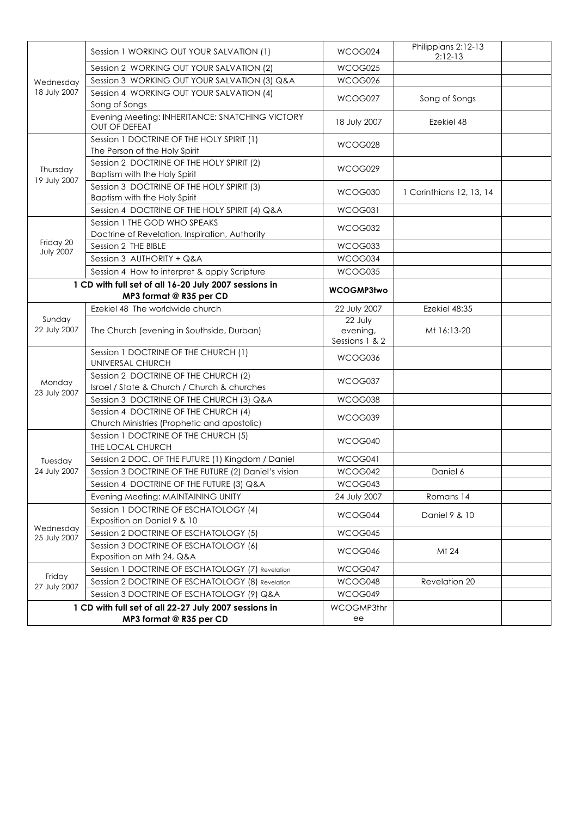| Wednesday<br>18 July 2007<br>Thursday<br>19 July 2007                            | Session 1 WORKING OUT YOUR SALVATION (1)                                            | WCOG024                               | Philippians 2:12-13<br>$2:12-13$ |  |
|----------------------------------------------------------------------------------|-------------------------------------------------------------------------------------|---------------------------------------|----------------------------------|--|
|                                                                                  | Session 2 WORKING OUT YOUR SALVATION (2)                                            | WCOG025                               |                                  |  |
|                                                                                  | Session 3 WORKING OUT YOUR SALVATION (3) Q&A                                        | WCOG026                               |                                  |  |
|                                                                                  | Session 4 WORKING OUT YOUR SALVATION (4)<br>Song of Songs                           | WCOG027                               | Song of Songs                    |  |
|                                                                                  | Evening Meeting: INHERITANCE: SNATCHING VICTORY<br><b>OUT OF DEFEAT</b>             | 18 July 2007                          | Ezekiel 48                       |  |
|                                                                                  | Session 1 DOCTRINE OF THE HOLY SPIRIT (1)<br>The Person of the Holy Spirit          | WCOG028                               |                                  |  |
|                                                                                  | Session 2 DOCTRINE OF THE HOLY SPIRIT (2)<br>Baptism with the Holy Spirit           | WCOG029                               |                                  |  |
|                                                                                  | Session 3 DOCTRINE OF THE HOLY SPIRIT (3)<br>Baptism with the Holy Spirit           | WCOG030                               | 1 Corinthians 12, 13, 14         |  |
|                                                                                  | Session 4 DOCTRINE OF THE HOLY SPIRIT (4) Q&A                                       | WCOG031                               |                                  |  |
|                                                                                  | Session 1 THE GOD WHO SPEAKS<br>Doctrine of Revelation, Inspiration, Authority      | WCOG032                               |                                  |  |
| Friday 20<br><b>July 2007</b>                                                    | Session 2 THE BIBLE                                                                 | WCOG033                               |                                  |  |
|                                                                                  | Session 3 AUTHORITY + Q&A                                                           | WCOG034                               |                                  |  |
|                                                                                  | Session 4 How to interpret & apply Scripture                                        | WCOG035                               |                                  |  |
| 1 CD with full set of all 16-20 July 2007 sessions in<br>MP3 format @ R35 per CD |                                                                                     | <b>WCOGMP3two</b>                     |                                  |  |
|                                                                                  | Ezekiel 48 The worldwide church                                                     | 22 July 2007                          | Ezekiel 48:35                    |  |
| Sunday<br>22 July 2007<br>Monday<br>23 July 2007                                 | The Church (evening in Southside, Durban)                                           | 22 July<br>evening,<br>Sessions 1 & 2 | Mt 16:13-20                      |  |
|                                                                                  | Session 1 DOCTRINE OF THE CHURCH (1)<br>UNIVERSAL CHURCH                            | WCOG036                               |                                  |  |
|                                                                                  | Session 2 DOCTRINE OF THE CHURCH (2)<br>Israel / State & Church / Church & churches | WCOG037                               |                                  |  |
|                                                                                  | Session 3 DOCTRINE OF THE CHURCH (3) Q&A                                            | WCOG038                               |                                  |  |
|                                                                                  | Session 4 DOCTRINE OF THE CHURCH (4)<br>Church Ministries (Prophetic and apostolic) | WCOG039                               |                                  |  |
|                                                                                  | Session 1 DOCTRINE OF THE CHURCH (5)<br>THE LOCAL CHURCH                            | WCOG040                               |                                  |  |
| Tuesday                                                                          | Session 2 DOC. OF THE FUTURE (1) Kingdom / Daniel                                   | WCOG041                               |                                  |  |
| 24 July 2007                                                                     | Session 3 DOCTRINE OF THE FUTURE (2) Daniel's vision                                | WCOG042                               | Daniel 6                         |  |
|                                                                                  | Session 4 DOCTRINE OF THE FUTURE (3) Q&A                                            | WCOG043                               |                                  |  |
|                                                                                  | Evening Meeting: MAINTAINING UNITY                                                  | 24 July 2007                          | Romans 14                        |  |
|                                                                                  | Session 1 DOCTRINE OF ESCHATOLOGY (4)<br>Exposition on Daniel 9 & 10                | WCOG044                               | Daniel 9 & 10                    |  |
| Wednesday                                                                        | Session 2 DOCTRINE OF ESCHATOLOGY (5)                                               | WCOG045                               |                                  |  |
| 25 July 2007                                                                     | Session 3 DOCTRINE OF ESCHATOLOGY (6)                                               |                                       |                                  |  |
|                                                                                  | Exposition on Mth 24, Q&A                                                           | WCOG046                               | Mt 24                            |  |
|                                                                                  | Session 1 DOCTRINE OF ESCHATOLOGY (7) Revelation                                    | WCOG047                               |                                  |  |
| Friday<br>27 July 2007                                                           | Session 2 DOCTRINE OF ESCHATOLOGY (8) Revelation                                    | WCOG048                               | Revelation 20                    |  |
|                                                                                  | Session 3 DOCTRINE OF ESCHATOLOGY (9) Q&A                                           | WCOG049                               |                                  |  |
| 1 CD with full set of all 22-27 July 2007 sessions in<br>MP3 format @ R35 per CD |                                                                                     | WCOGMP3thr<br>ee                      |                                  |  |